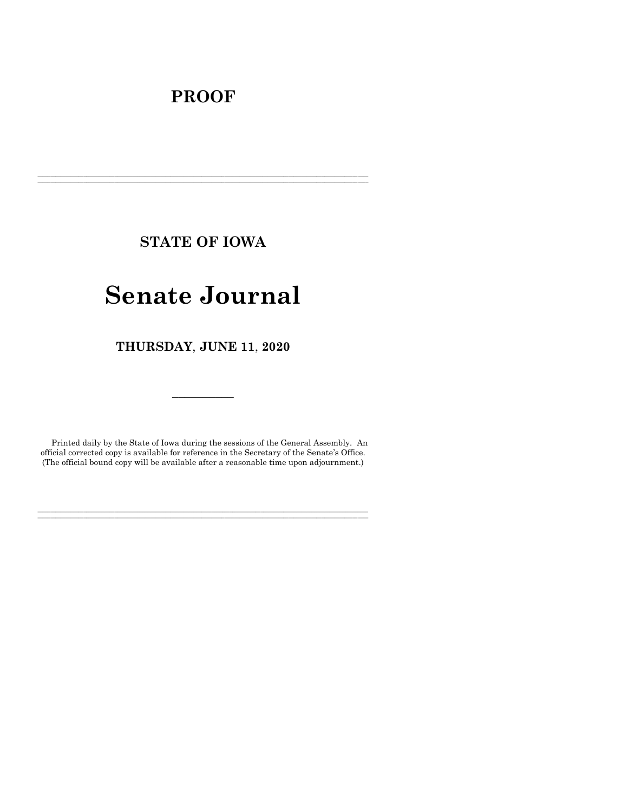## **PROOF**

**STATE OF IOWA**

**\_\_\_\_\_\_\_\_\_\_\_\_\_\_\_\_\_\_\_\_\_\_\_\_\_\_\_\_\_\_\_\_\_\_\_\_\_\_\_\_\_\_\_\_\_\_\_\_\_\_\_\_\_\_\_\_\_\_\_\_\_\_\_\_\_\_\_\_\_\_\_\_\_\_\_\_\_\_\_\_\_\_\_\_\_\_\_\_\_\_\_\_\_\_\_\_\_\_\_\_\_\_\_\_\_\_\_\_\_\_\_\_\_\_\_\_\_\_\_\_\_\_\_\_\_\_\_\_\_ \_\_\_\_\_\_\_\_\_\_\_\_\_\_\_\_\_\_\_\_\_\_\_\_\_\_\_\_\_\_\_\_\_\_\_\_\_\_\_\_\_\_\_\_\_\_\_\_\_\_\_\_\_\_\_\_\_\_\_\_\_\_\_\_\_\_\_\_\_\_\_\_\_\_\_\_\_\_\_\_\_\_\_\_\_\_\_\_\_\_\_\_\_\_\_\_\_\_\_\_\_\_\_\_\_\_\_\_\_\_\_\_\_\_\_\_\_\_\_\_\_\_\_\_\_\_\_\_\_**

# **Senate Journal**

**THURSDAY**, **JUNE 11**, **2020**

Printed daily by the State of Iowa during the sessions of the General Assembly. An official corrected copy is available for reference in the Secretary of the Senate's Office. (The official bound copy will be available after a reasonable time upon adjournment.)

**\_\_\_\_\_\_\_\_\_\_\_\_\_\_\_\_\_\_\_\_\_\_\_\_\_\_\_\_\_\_\_\_\_\_\_\_\_\_\_\_\_\_\_\_\_\_\_\_\_\_\_\_\_\_\_\_\_\_\_\_\_\_\_\_\_\_\_\_\_\_\_\_\_\_\_\_\_\_\_\_\_\_\_\_\_\_\_\_\_\_\_\_\_\_\_\_\_\_\_\_\_\_\_\_\_\_\_\_\_\_\_\_\_\_\_\_\_\_\_\_\_\_\_\_\_\_\_\_\_ \_\_\_\_\_\_\_\_\_\_\_\_\_\_\_\_\_\_\_\_\_\_\_\_\_\_\_\_\_\_\_\_\_\_\_\_\_\_\_\_\_\_\_\_\_\_\_\_\_\_\_\_\_\_\_\_\_\_\_\_\_\_\_\_\_\_\_\_\_\_\_\_\_\_\_\_\_\_\_\_\_\_\_\_\_\_\_\_\_\_\_\_\_\_\_\_\_\_\_\_\_\_\_\_\_\_\_\_\_\_\_\_\_\_\_\_\_\_\_\_\_\_\_\_\_\_\_\_\_**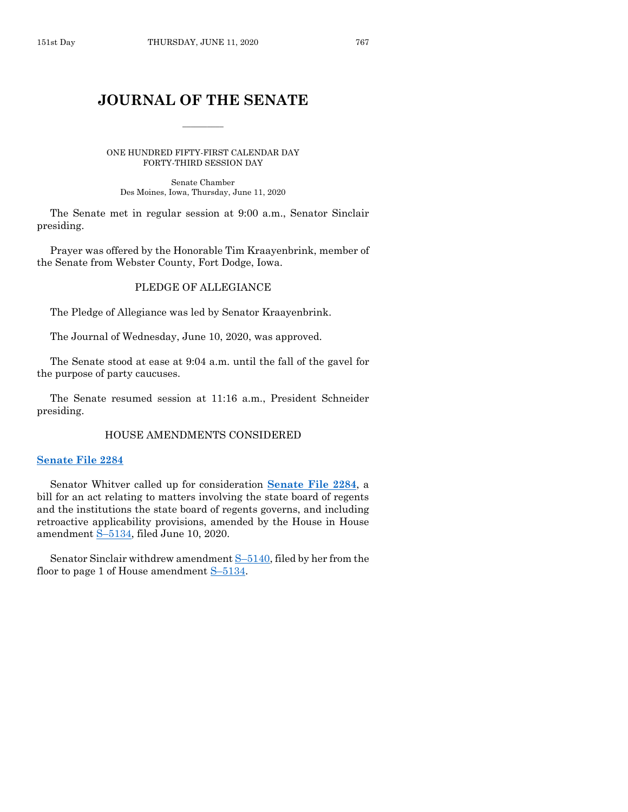## **JOURNAL OF THE SENATE**

 $\frac{1}{2}$ 

ONE HUNDRED FIFTY-FIRST CALENDAR DAY FORTY-THIRD SESSION DAY

Senate Chamber Des Moines, Iowa, Thursday, June 11, 2020

The Senate met in regular session at 9:00 a.m., Senator Sinclair presiding.

Prayer was offered by the Honorable Tim Kraayenbrink, member of the Senate from Webster County, Fort Dodge, Iowa.

## PLEDGE OF ALLEGIANCE

The Pledge of Allegiance was led by Senator Kraayenbrink.

The Journal of Wednesday, June 10, 2020, was approved.

The Senate stood at ease at 9:04 a.m. until the fall of the gavel for the purpose of party caucuses.

The Senate resumed session at 11:16 a.m., President Schneider presiding.

#### HOUSE AMENDMENTS CONSIDERED

#### **[Senate File 2284](https://www.legis.iowa.gov/legislation/BillBook?ga=88&ba=SF2284)**

Senator Whitver called up for consideration **[Senate File 2284](https://www.legis.iowa.gov/legislation/BillBook?ga=88&ba=SF2284)**, a bill for an act relating to matters involving the state board of regents and the institutions the state board of regents governs, and including retroactive applicability provisions, amended by the House in House amendment S–[5134,](https://www.legis.iowa.gov/legislation/BillBook?ga=88&ba=S5134) filed June 10, 2020.

Senator Sinclair withdrew amendment S–[5140,](https://www.legis.iowa.gov/legislation/BillBook?ga=88&ba=S5140) filed by her from the floor to page 1 of House amendment S–[5134.](https://www.legis.iowa.gov/legislation/BillBook?ga=88&ba=S5134)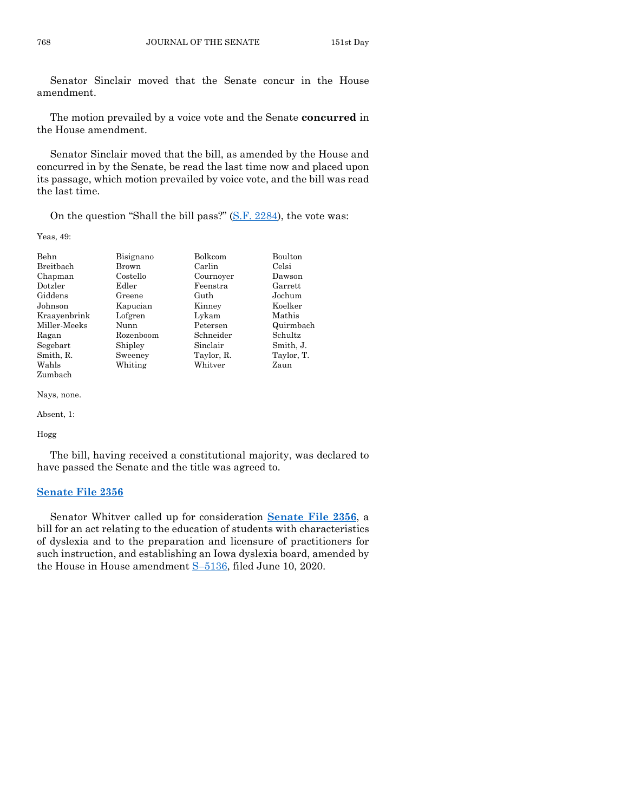Senator Sinclair moved that the Senate concur in the House amendment.

The motion prevailed by a voice vote and the Senate **concurred** in the House amendment.

Senator Sinclair moved that the bill, as amended by the House and concurred in by the Senate, be read the last time now and placed upon its passage, which motion prevailed by voice vote, and the bill was read the last time.

On the question "Shall the bill pass?" [\(S.F. 2284\)](https://www.legis.iowa.gov/legislation/BillBook?ga=88&ba=SF2284), the vote was:

Yeas, 49:

| Behn         | Bisignano | Bolkcom    | Boulton    |
|--------------|-----------|------------|------------|
| Breitbach    | Brown     | Carlin     | Celsi      |
| Chapman      | Costello  | Cournoyer  | Dawson     |
| Dotzler      | Edler     | Feenstra   | Garrett    |
| Giddens      | Greene    | Guth       | Jochum     |
| Johnson      | Kapucian  | Kinney     | Koelker    |
| Kraayenbrink | Lofgren   | Lykam      | Mathis     |
| Miller-Meeks | Nunn      | Petersen   | Quirmbach  |
| Ragan        | Rozenboom | Schneider  | Schultz    |
| Segebart     | Shipley   | Sinclair   | Smith, J.  |
| Smith, R.    | Sweeney   | Taylor, R. | Taylor, T. |
| Wahls        | Whiting   | Whitver    | Zaun       |
| Zumbach      |           |            |            |

Nays, none.

Absent, 1:

#### Hogg

The bill, having received a constitutional majority, was declared to have passed the Senate and the title was agreed to.

#### **[Senate File 2356](https://www.legis.iowa.gov/legislation/BillBook?ga=88&ba=SF2356)**

Senator Whitver called up for consideration **[Senate File 2356](https://www.legis.iowa.gov/legislation/BillBook?ga=88&ba=SF2356)**, a bill for an act relating to the education of students with characteristics of dyslexia and to the preparation and licensure of practitioners for such instruction, and establishing an Iowa dyslexia board, amended by the House in House amendment S–[5136,](https://www.legis.iowa.gov/legislation/BillBook?ga=88&ba=S5136) filed June 10, 2020.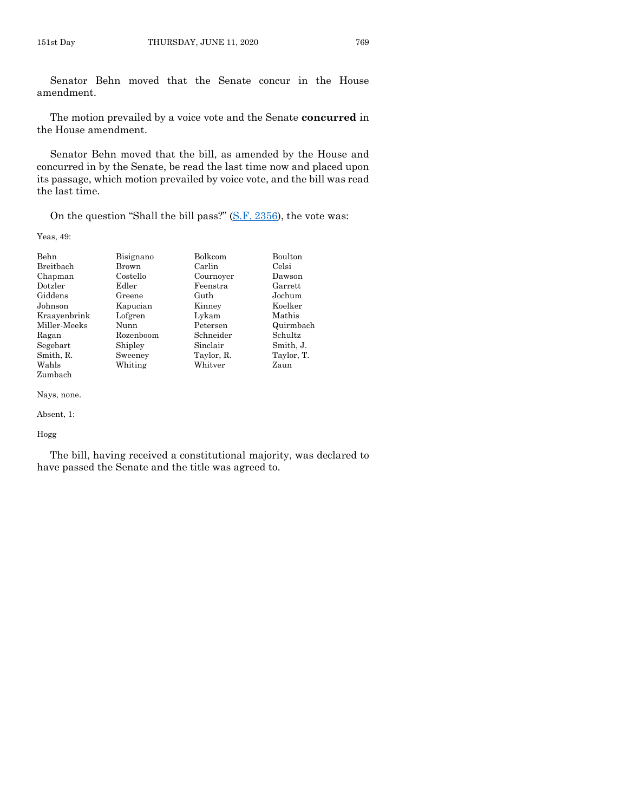Senator Behn moved that the Senate concur in the House amendment.

The motion prevailed by a voice vote and the Senate **concurred** in the House amendment.

Senator Behn moved that the bill, as amended by the House and concurred in by the Senate, be read the last time now and placed upon its passage, which motion prevailed by voice vote, and the bill was read the last time.

On the question "Shall the bill pass?" [\(S.F. 2356\)](https://www.legis.iowa.gov/legislation/BillBook?ga=88&ba=SF2356), the vote was:

Yeas, 49:

| Behn         | Bisignano | Bolkcom    | Boulton    |
|--------------|-----------|------------|------------|
| Breitbach    | Brown     | Carlin     | Celsi      |
| Chapman      | Costello  | Cournoyer  | Dawson     |
| Dotzler      | Edler     | Feenstra   | Garrett    |
| Giddens      | Greene    | Guth       | Jochum     |
| Johnson      | Kapucian  | Kinney     | Koelker    |
| Kraayenbrink | Lofgren   | Lykam      | Mathis     |
| Miller-Meeks | Nunn      | Petersen   | Quirmbach  |
| Ragan        | Rozenboom | Schneider  | Schultz    |
| Segebart     | Shipley   | Sinclair   | Smith, J.  |
| Smith, R.    | Sweeney   | Taylor, R. | Taylor, T. |
| Wahls        | Whiting   | Whitver    | Zaun       |
| Zumbach      |           |            |            |

Nays, none.

#### Absent, 1:

#### Hogg

The bill, having received a constitutional majority, was declared to have passed the Senate and the title was agreed to.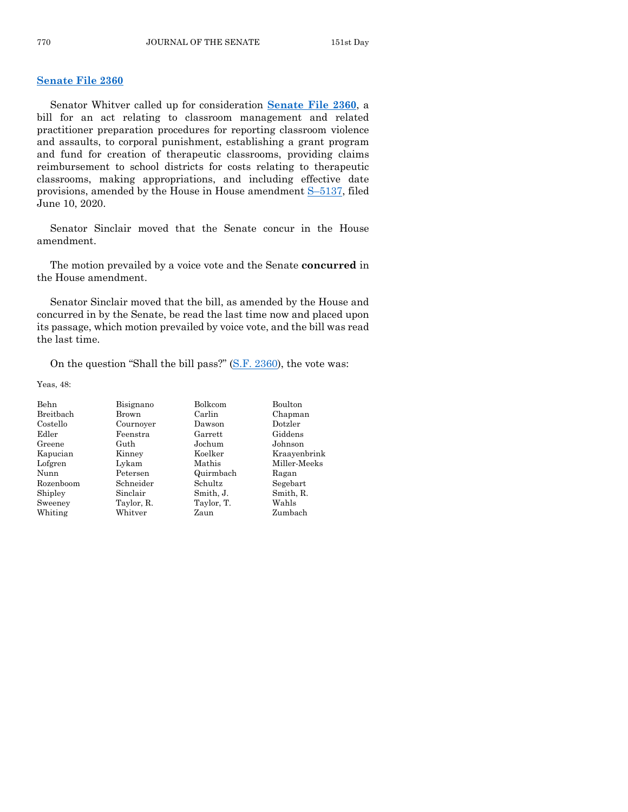## **[Senate File 2360](https://www.legis.iowa.gov/legislation/BillBook?ga=88&ba=SF2360)**

Senator Whitver called up for consideration **[Senate File 2360](https://www.legis.iowa.gov/legislation/BillBook?ga=88&ba=SF2360)**, a bill for an act relating to classroom management and related practitioner preparation procedures for reporting classroom violence and assaults, to corporal punishment, establishing a grant program and fund for creation of therapeutic classrooms, providing claims reimbursement to school districts for costs relating to therapeutic classrooms, making appropriations, and including effective date provisions, amended by the House in House amendment S–[5137,](https://www.legis.iowa.gov/legislation/BillBook?ga=88&ba=S5137) filed June 10, 2020.

Senator Sinclair moved that the Senate concur in the House amendment.

The motion prevailed by a voice vote and the Senate **concurred** in the House amendment.

Senator Sinclair moved that the bill, as amended by the House and concurred in by the Senate, be read the last time now and placed upon its passage, which motion prevailed by voice vote, and the bill was read the last time.

On the question "Shall the bill pass?" [\(S.F. 2360\)](https://www.legis.iowa.gov/legislation/BillBook?ga=88&ba=SF2360), the vote was:

Yeas, 48:

| Behn      | Bisignano         | Bolkcom    | Boulton      |
|-----------|-------------------|------------|--------------|
| Breitbach | Brown             | Carlin     | Chapman      |
| Costello  | Cournover         | Dawson     | Dotzler      |
| Edler     | Feenstra          | Garrett    | Giddens      |
| Greene    | Guth              | Jochum     | Johnson      |
| Kapucian  | Koelker<br>Kinney |            | Kraavenbrink |
| Lofgren   | Lykam             | Mathis     | Miller Meeks |
| Nunn      | Petersen          | Quirmbach  | Ragan        |
| Rozenboom | Schneider         | Schultz    | Segebart     |
| Shipley   | Sinclair          | Smith, J.  | Smith, R.    |
| Sweeney   | Taylor, R.        | Taylor, T. | Wahls        |
| Whiting   | Whitver           | Zaun       | Zumbach      |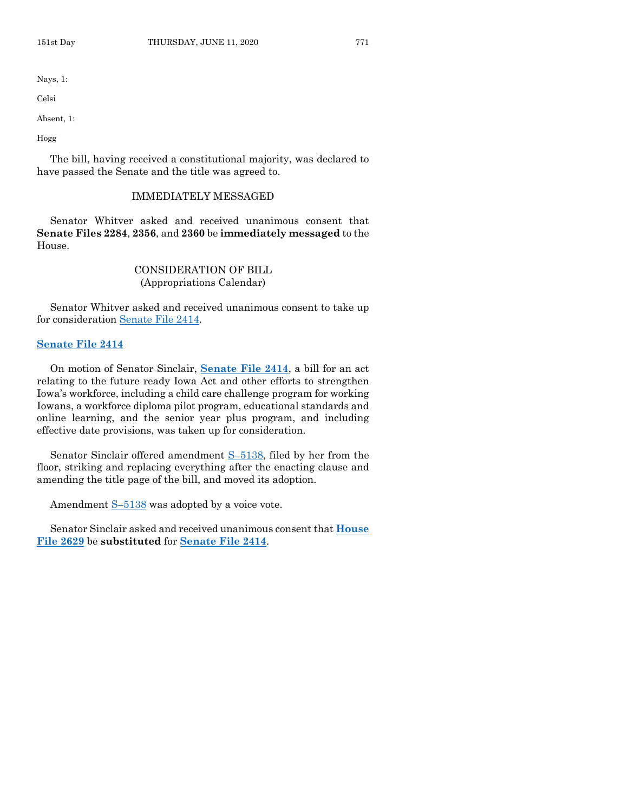Nays, 1:

Celsi

Absent, 1:

Hogg

The bill, having received a constitutional majority, was declared to have passed the Senate and the title was agreed to.

## IMMEDIATELY MESSAGED

Senator Whitver asked and received unanimous consent that **Senate Files 2284**, **2356**, and **2360** be **immediately messaged** to the House.

## CONSIDERATION OF BILL (Appropriations Calendar)

Senator Whitver asked and received unanimous consent to take up for consideration [Senate File 2414.](https://www.legis.iowa.gov/legislation/BillBook?ga=88&ba=SF2414)

## **[Senate File 2414](https://www.legis.iowa.gov/legislation/BillBook?ga=88&ba=SF2414)**

On motion of Senator Sinclair, **[Senate File 2414](https://www.legis.iowa.gov/legislation/BillBook?ga=88&ba=SF2414)**, a bill for an act relating to the future ready Iowa Act and other efforts to strengthen Iowa's workforce, including a child care challenge program for working Iowans, a workforce diploma pilot program, educational standards and online learning, and the senior year plus program, and including effective date provisions, was taken up for consideration.

Senator Sinclair offered amendment S–[5138,](https://www.legis.iowa.gov/legislation/BillBook?ga=88&ba=S5138) filed by her from the floor, striking and replacing everything after the enacting clause and amending the title page of the bill, and moved its adoption.

Amendment  $S-5138$  $S-5138$  was adopted by a voice vote.

Senator Sinclair asked and received unanimous consent that **[House](https://www.legis.iowa.gov/legislation/BillBook?ga=88&ba=HF2629)  [File 2629](https://www.legis.iowa.gov/legislation/BillBook?ga=88&ba=HF2629)** be **substituted** for **[Senate File 2414](https://www.legis.iowa.gov/legislation/BillBook?ga=88&ba=SF2414)**.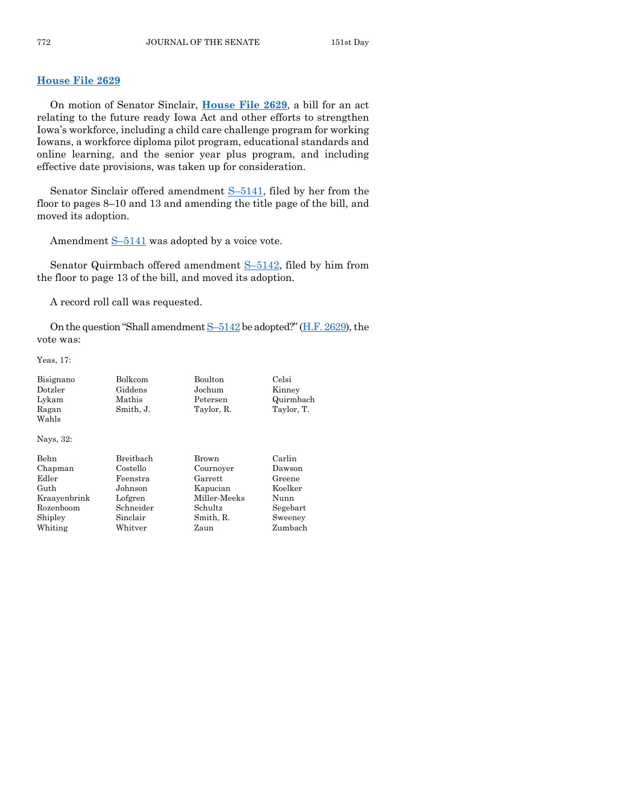## **[House File 2629](https://www.legis.iowa.gov/legislation/BillBook?ga=88&ba=HF2629)**

On motion of Senator Sinclair, **[House File 2629](https://www.legis.iowa.gov/legislation/BillBook?ga=88&ba=HF2629)**, a bill for an act relating to the future ready Iowa Act and other efforts to strengthen Iowa's workforce, including a child care challenge program for working Iowans, a workforce diploma pilot program, educational standards and online learning, and the senior year plus program, and including effective date provisions, was taken up for consideration.

Senator Sinclair offered amendment S–[5141,](https://www.legis.iowa.gov/legislation/BillBook?ga=88&ba=S5141) filed by her from the floor to pages 8–10 and 13 and amending the title page of the bill, and moved its adoption.

Amendment  $S-5141$  $S-5141$  was adopted by a voice vote.

Senator Quirmbach offered amendment S–[5142,](https://www.legis.iowa.gov/legislation/BillBook?ga=88&ba=S5142) filed by him from the floor to page 13 of the bill, and moved its adoption.

A record roll call was requested.

On the question "Shall amendment  $S-5142$  $S-5142$  be adopted?" [\(H.F. 2629\)](https://www.legis.iowa.gov/legislation/BillBook?ga=88&ba=HF2629), the vote was:

Yeas, 17:

| Bisignano    | Bolkcom       | Boulton      | Celsi      |
|--------------|---------------|--------------|------------|
| Dotzler      | Giddens       | Jochum       | Kinney     |
| Lykam        | Mathis        | Petersen     | Quirmbach  |
| Ragan        | Smith, J.     | Taylor, R.   | Taylor, T. |
| Wahls        |               |              |            |
| Nays, 32:    |               |              |            |
| Behn         | Breitbach     | Brown        | Carlin     |
| Chapman      | Costello      | Cournoyer    | Dawson     |
| Edler        | Feenstra      | Garrett      | Greene     |
| Guth         | Johnson       | Kapucian     | Koelker    |
| Kraayenbrink | Lofgren       | Miller-Meeks | Nunn       |
| Rozenboom    | Schneider     | Schultz      | Segebart   |
| Shipley      | Sinclair      | Smith, R.    | Sweeney    |
| Whiting      | $\rm Whitter$ | Zaun         | Zumbach    |
|              |               |              |            |
|              |               |              |            |
|              |               |              |            |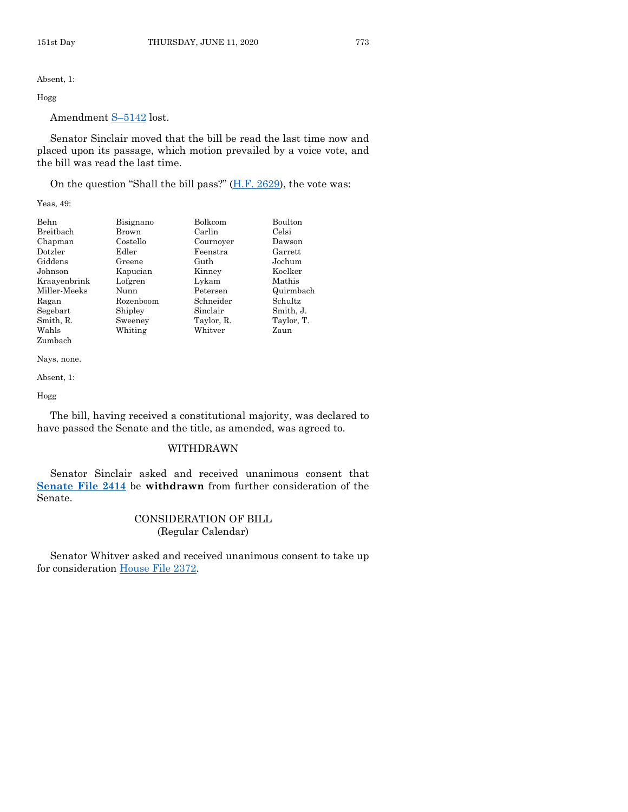Absent, 1:

## Hogg

Amendment S–[5142](https://www.legis.iowa.gov/legislation/BillBook?ga=88&ba=S5142) lost.

Senator Sinclair moved that the bill be read the last time now and placed upon its passage, which motion prevailed by a voice vote, and the bill was read the last time.

On the question "Shall the bill pass?"  $(H.F. 2629)$ , the vote was:

Yeas, 49:

| Behn         | Bisignano | Bolkcom    | Boulton    |
|--------------|-----------|------------|------------|
| Breitbach    | Brown     | Carlin     | Celsi      |
| Chapman      | Costello  | Cournoyer  | Dawson     |
| Dotzler      | Edler     | Feenstra   | Garrett    |
| Giddens      | Greene    | Guth       | Jochum     |
| Johnson      | Kapucian  | Kinney     | Koelker    |
| Kraayenbrink | Lofgren   | Lykam      | Mathis     |
| Miller-Meeks | Nunn      | Petersen   | Quirmbach  |
| Ragan        | Rozenboom | Schneider  | Schultz    |
| Segebart     | Shipley   | Sinclair   | Smith, J.  |
| Smith, R.    | Sweeney   | Taylor, R. | Taylor, T. |
| Wahls        | Whiting   | Whitver    | Zaun       |
| Zumbach      |           |            |            |

Nays, none.

Absent, 1:

Hogg

The bill, having received a constitutional majority, was declared to have passed the Senate and the title, as amended, was agreed to.

## WITHDRAWN

Senator Sinclair asked and received unanimous consent that **[Senate File 2414](https://www.legis.iowa.gov/legislation/BillBook?ga=88&ba=SF2414)** be **withdrawn** from further consideration of the Senate.

## CONSIDERATION OF BILL (Regular Calendar)

Senator Whitver asked and received unanimous consent to take up for consideration [House File 2372.](https://www.legis.iowa.gov/legislation/BillBook?ga=88&ba=HF2372)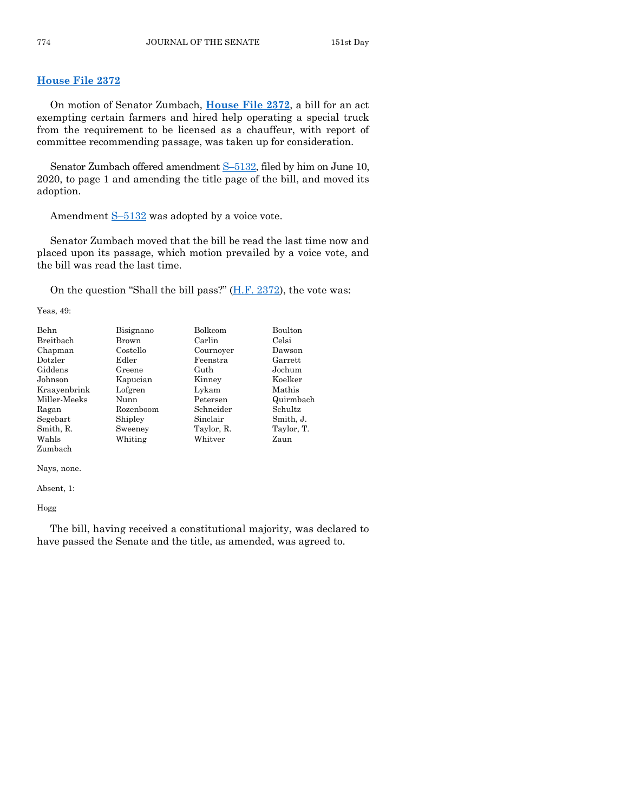## **[House File 2372](https://www.legis.iowa.gov/legislation/BillBook?ga=88&ba=HF2372)**

On motion of Senator Zumbach, **[House File 2372](https://www.legis.iowa.gov/legislation/BillBook?ga=88&ba=HF2372)**, a bill for an act exempting certain farmers and hired help operating a special truck from the requirement to be licensed as a chauffeur, with report of committee recommending passage, was taken up for consideration.

Senator Zumbach offered amendment S–[5132,](https://www.legis.iowa.gov/legislation/BillBook?ga=88&ba=S5132) filed by him on June 10, 2020, to page 1 and amending the title page of the bill, and moved its adoption.

Amendment S–[5132](https://www.legis.iowa.gov/legislation/BillBook?ga=88&ba=S5132) was adopted by a voice vote.

Senator Zumbach moved that the bill be read the last time now and placed upon its passage, which motion prevailed by a voice vote, and the bill was read the last time.

On the question "Shall the bill pass?" [\(H.F. 2372\)](https://www.legis.iowa.gov/legislation/BillBook?ga=88&ba=HF2372), the vote was:

Yeas, 49:

| Behn         | Bisignano | Bolkcom    | Boulton    |  |
|--------------|-----------|------------|------------|--|
| Breitbach    | Brown     | Carlin     | Celsi      |  |
| Chapman      | Costello  | Cournoyer  | Dawson     |  |
| Dotzler      | Edler     | Feenstra   | Garrett    |  |
| Giddens      | Greene    | Guth       | Jochum     |  |
| Johnson      | Kapucian  | Kinney     | Koelker    |  |
| Kraavenbrink | Lofgren   | Lykam      | Mathis     |  |
| Miller-Meeks | Nunn      | Petersen   | Quirmbach  |  |
| Ragan        | Rozenboom | Schneider  | Schultz    |  |
| Segebart     | Shipley   | Sinclair   | Smith, J.  |  |
| Smith, R.    | Sweeney   | Taylor, R. | Taylor, T. |  |
| Wahls        | Whiting   | Whitver    | Zaun       |  |
| Zumbach      |           |            |            |  |

Nays, none.

Absent, 1:

Hogg

The bill, having received a constitutional majority, was declared to have passed the Senate and the title, as amended, was agreed to.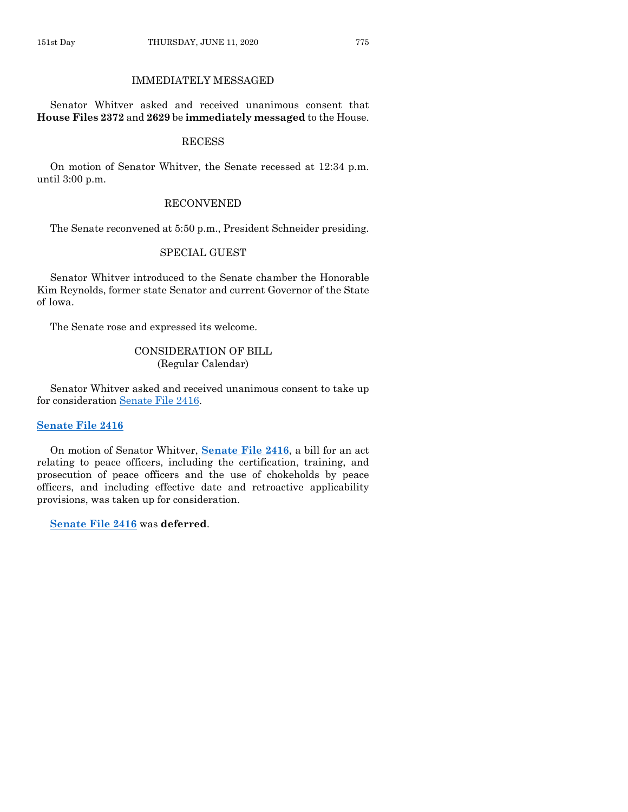## IMMEDIATELY MESSAGED

Senator Whitver asked and received unanimous consent that **House Files 2372** and **2629** be **immediately messaged** to the House.

## **RECESS**

On motion of Senator Whitver, the Senate recessed at 12:34 p.m. until 3:00 p.m.

## RECONVENED

The Senate reconvened at 5:50 p.m., President Schneider presiding.

## SPECIAL GUEST

Senator Whitver introduced to the Senate chamber the Honorable Kim Reynolds, former state Senator and current Governor of the State of Iowa.

The Senate rose and expressed its welcome.

## CONSIDERATION OF BILL (Regular Calendar)

Senator Whitver asked and received unanimous consent to take up for consideration [Senate File 2416.](https://www.legis.iowa.gov/legislation/BillBook?ga=88&ba=SF2416)

## **[Senate File 2416](https://www.legis.iowa.gov/legislation/BillBook?ga=88&ba=SF2416)**

On motion of Senator Whitver, **[Senate File 2416](https://www.legis.iowa.gov/legislation/BillBook?ga=88&ba=SF2416)**, a bill for an act relating to peace officers, including the certification, training, and prosecution of peace officers and the use of chokeholds by peace officers, and including effective date and retroactive applicability provisions, was taken up for consideration.

**[Senate File 2416](https://www.legis.iowa.gov/legislation/BillBook?ga=88&ba=SF2416)** was **deferred**.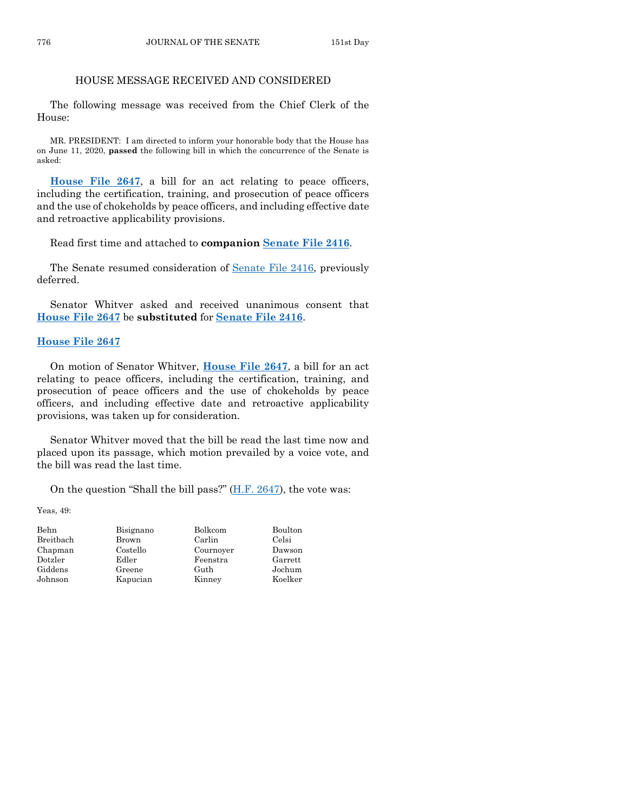## HOUSE MESSAGE RECEIVED AND CONSIDERED

The following message was received from the Chief Clerk of the House:

MR. PRESIDENT: I am directed to inform your honorable body that the House has on June 11, 2020, **passed** the following bill in which the concurrence of the Senate is asked:

**[House File 2647](https://www.legis.iowa.gov/legislation/BillBook?ga=88&ba=HF2647)**, a bill for an act relating to peace officers, including the certification, training, and prosecution of peace officers and the use of chokeholds by peace officers, and including effective date and retroactive applicability provisions.

Read first time and attached to **companion [Senate File 2416](https://www.legis.iowa.gov/legislation/BillBook?ga=88&ba=SF2416)**.

The Senate resumed consideration of [Senate File 2416,](https://www.legis.iowa.gov/legislation/BillBook?ga=88&ba=SF2416) previously deferred.

Senator Whitver asked and received unanimous consent that **[House File 2647](https://www.legis.iowa.gov/legislation/BillBook?ga=88&ba=HF2647)** be **substituted** for **[Senate File 2416](https://www.legis.iowa.gov/legislation/BillBook?ga=88&ba=SF2416)**.

#### **[House File 2647](https://www.legis.iowa.gov/legislation/BillBook?ga=88&ba=HF2647)**

On motion of Senator Whitver, **[House File 2647](https://www.legis.iowa.gov/legislation/BillBook?ga=88&ba=HF2647)**, a bill for an act relating to peace officers, including the certification, training, and prosecution of peace officers and the use of chokeholds by peace officers, and including effective date and retroactive applicability provisions, was taken up for consideration.

Senator Whitver moved that the bill be read the last time now and placed upon its passage, which motion prevailed by a voice vote, and the bill was read the last time.

On the question "Shall the bill pass?" [\(H.F. 2647\)](https://www.legis.iowa.gov/legislation/BillBook?ga=88&ba=HF2647), the vote was:

Yeas, 49:

| Behn      | Bisignano | Bolkcom   | Boulton |
|-----------|-----------|-----------|---------|
| Breitbach | Brown     | Carlin    | Celsi   |
| Chapman   | Costello  | Cournoyer | Dawson  |
| Dotzler   | Edler     | Feenstra  | Garrett |
| Giddens   | Greene    | Guth      | Jochum  |
| Johnson   | Kapucian  | Kinney    | Koelker |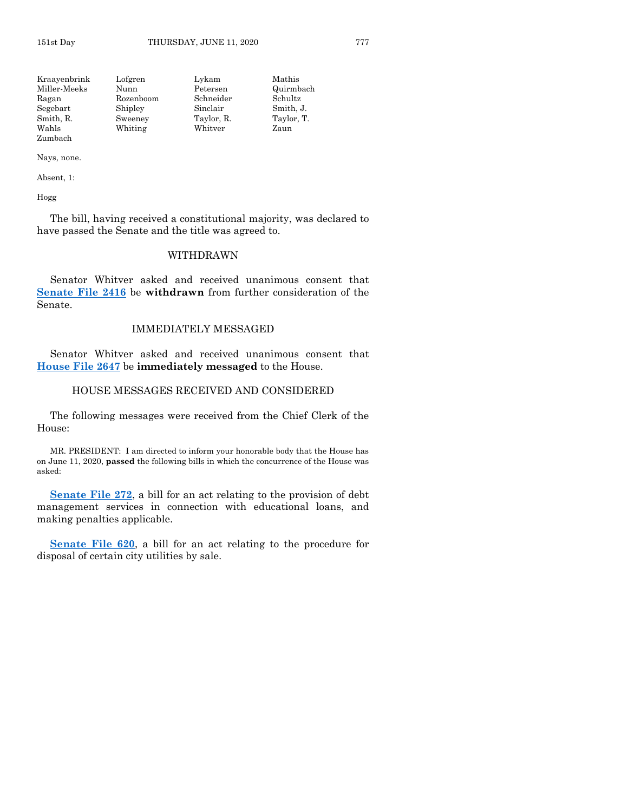| Kraayenbrink | Lofgren   | Lykam      | Mathis     |
|--------------|-----------|------------|------------|
| Miller-Meeks | Nunn      | Petersen   | Quirmbach  |
| Ragan        | Rozenboom | Schneider  | Schultz    |
| Segebart     | Shipley   | Sinclair   | Smith, J.  |
| Smith, R.    | Sweeney   | Taylor, R. | Taylor, T. |
| Wahls        | Whiting   | Whitver    | Zaun       |
| Zumbach      |           |            |            |

Nays, none.

Absent, 1:

Hogg

The bill, having received a constitutional majority, was declared to have passed the Senate and the title was agreed to.

## WITHDRAWN

Senator Whitver asked and received unanimous consent that **[Senate File 2416](https://www.legis.iowa.gov/legislation/BillBook?ga=88&ba=SF2416)** be **withdrawn** from further consideration of the Senate.

## IMMEDIATELY MESSAGED

Senator Whitver asked and received unanimous consent that **[House File 2647](https://www.legis.iowa.gov/legislation/BillBook?ga=88&ba=HF2647)** be **immediately messaged** to the House.

## HOUSE MESSAGES RECEIVED AND CONSIDERED

The following messages were received from the Chief Clerk of the House:

MR. PRESIDENT: I am directed to inform your honorable body that the House has on June 11, 2020, **passed** the following bills in which the concurrence of the House was asked:

**[Senate File 272](https://www.legis.iowa.gov/legislation/BillBook?ga=88&ba=SF272)**, a bill for an act relating to the provision of debt management services in connection with educational loans, and making penalties applicable.

**[Senate File 620](https://www.legis.iowa.gov/legislation/BillBook?ga=88&ba=SF620)**, a bill for an act relating to the procedure for disposal of certain city utilities by sale.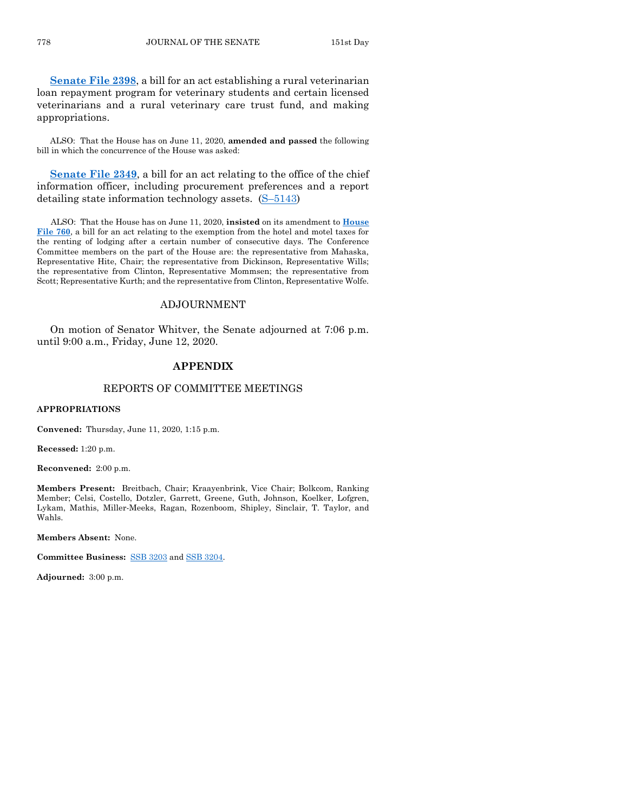**[Senate File 2398](https://www.legis.iowa.gov/legislation/BillBook?ga=88&ba=SF2398)**, a bill for an act establishing a rural veterinarian loan repayment program for veterinary students and certain licensed veterinarians and a rural veterinary care trust fund, and making appropriations.

ALSO: That the House has on June 11, 2020, **amended and passed** the following bill in which the concurrence of the House was asked:

**[Senate File 2349](https://www.legis.iowa.gov/legislation/BillBook?ga=88&ba=SF2349)**, a bill for an act relating to the office of the chief information officer, including procurement preferences and a report detailing state information technology assets. (S–[5143\)](https://www.legis.iowa.gov/legislation/BillBook?ga=88&ba=S5143)

ALSO: That the House has on June 11, 2020, **insisted** on its amendment to **[House](https://www.legis.iowa.gov/legislation/BillBook?ga=88&ba=HF760)  [File 760](https://www.legis.iowa.gov/legislation/BillBook?ga=88&ba=HF760)**, a bill for an act relating to the exemption from the hotel and motel taxes for the renting of lodging after a certain number of consecutive days. The Conference Committee members on the part of the House are: the representative from Mahaska, Representative Hite, Chair; the representative from Dickinson, Representative Wills; the representative from Clinton, Representative Mommsen; the representative from Scott; Representative Kurth; and the representative from Clinton, Representative Wolfe.

## ADJOURNMENT

On motion of Senator Whitver, the Senate adjourned at 7:06 p.m. until 9:00 a.m., Friday, June 12, 2020.

## **APPENDIX**

## REPORTS OF COMMITTEE MEETINGS

#### **APPROPRIATIONS**

**Convened:** Thursday, June 11, 2020, 1:15 p.m.

**Recessed:** 1:20 p.m.

**Reconvened:** 2:00 p.m.

**Members Present:** Breitbach, Chair; Kraayenbrink, Vice Chair; Bolkcom, Ranking Member; Celsi, Costello, Dotzler, Garrett, Greene, Guth, Johnson, Koelker, Lofgren, Lykam, Mathis, Miller-Meeks, Ragan, Rozenboom, Shipley, Sinclair, T. Taylor, and Wahls.

**Members Absent:** None.

**Committee Business:** [SSB 3203](https://www.legis.iowa.gov/legislation/BillBook?ga=88&ba=SSB3203) an[d SSB 3204.](https://www.legis.iowa.gov/legislation/BillBook?ga=88&ba=SSB3204)

**Adjourned:** 3:00 p.m.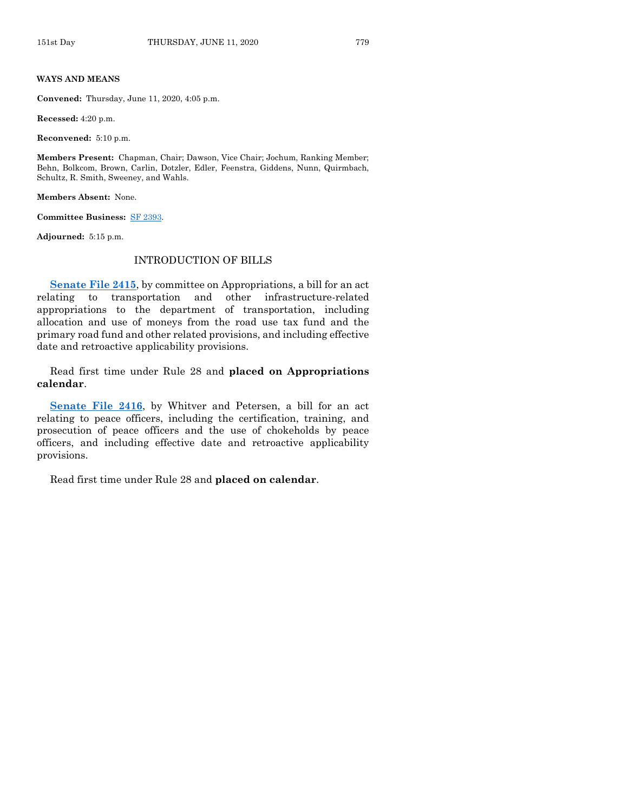#### **WAYS AND MEANS**

**Convened:** Thursday, June 11, 2020, 4:05 p.m.

**Recessed:** 4:20 p.m.

**Reconvened:** 5:10 p.m.

**Members Present:** Chapman, Chair; Dawson, Vice Chair; Jochum, Ranking Member; Behn, Bolkcom, Brown, Carlin, Dotzler, Edler, Feenstra, Giddens, Nunn, Quirmbach, Schultz, R. Smith, Sweeney, and Wahls.

**Members Absent:** None.

**Committee Business:** [SF 2393.](https://www.legis.iowa.gov/legislation/BillBook?ga=88&ba=SF2393)

**Adjourned:** 5:15 p.m.

#### INTRODUCTION OF BILLS

**[Senate File 2415](https://www.legis.iowa.gov/legislation/BillBook?ga=88&ba=SF2415)**, by committee on Appropriations, a bill for an act relating to transportation and other infrastructure-related appropriations to the department of transportation, including allocation and use of moneys from the road use tax fund and the primary road fund and other related provisions, and including effective date and retroactive applicability provisions.

Read first time under Rule 28 and **placed on Appropriations calendar**.

**[Senate File 2416](https://www.legis.iowa.gov/legislation/BillBook?ga=88&ba=SF2416)**, by Whitver and Petersen, a bill for an act relating to peace officers, including the certification, training, and prosecution of peace officers and the use of chokeholds by peace officers, and including effective date and retroactive applicability provisions.

Read first time under Rule 28 and **placed on calendar**.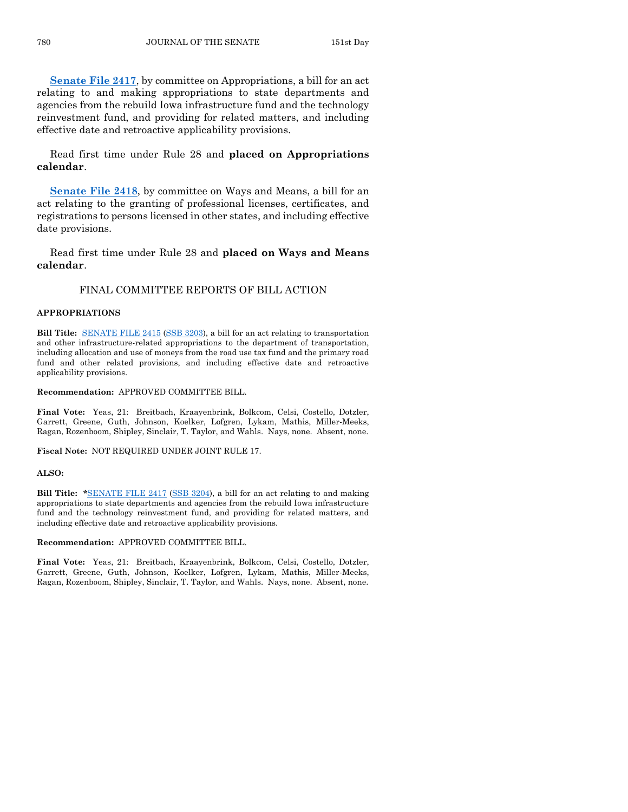**[Senate File 2417](https://www.legis.iowa.gov/legislation/BillBook?ga=88&ba=SF2417)**, by committee on Appropriations, a bill for an act relating to and making appropriations to state departments and agencies from the rebuild Iowa infrastructure fund and the technology reinvestment fund, and providing for related matters, and including effective date and retroactive applicability provisions.

Read first time under Rule 28 and **placed on Appropriations calendar**.

**[Senate File 2418](https://www.legis.iowa.gov/legislation/BillBook?ga=88&ba=SF2418)**, by committee on Ways and Means, a bill for an act relating to the granting of professional licenses, certificates, and registrations to persons licensed in other states, and including effective date provisions.

Read first time under Rule 28 and **placed on Ways and Means calendar**.

## FINAL COMMITTEE REPORTS OF BILL ACTION

#### **APPROPRIATIONS**

**Bill Title:** [SENATE FILE 2415](https://www.legis.iowa.gov/legislation/BillBook?ga=88&ba=SF2415) [\(SSB 3203\)](https://www.legis.iowa.gov/legislation/BillBook?ga=88&ba=SSB3203), a bill for an act relating to transportation and other infrastructure-related appropriations to the department of transportation, including allocation and use of moneys from the road use tax fund and the primary road fund and other related provisions, and including effective date and retroactive applicability provisions.

#### **Recommendation:** APPROVED COMMITTEE BILL.

**Final Vote:** Yeas, 21: Breitbach, Kraayenbrink, Bolkcom, Celsi, Costello, Dotzler, Garrett, Greene, Guth, Johnson, Koelker, Lofgren, Lykam, Mathis, Miller-Meeks, Ragan, Rozenboom, Shipley, Sinclair, T. Taylor, and Wahls. Nays, none. Absent, none.

**Fiscal Note:** NOT REQUIRED UNDER JOINT RULE 17.

#### **ALSO:**

**Bill Title: \***[SENATE FILE 2417](https://www.legis.iowa.gov/legislation/BillBook?ga=88&ba=SF2417) [\(SSB 3204\)](https://www.legis.iowa.gov/legislation/BillBook?ga=88&ba=SSB3204), a bill for an act relating to and making appropriations to state departments and agencies from the rebuild Iowa infrastructure fund and the technology reinvestment fund, and providing for related matters, and including effective date and retroactive applicability provisions.

#### **Recommendation:** APPROVED COMMITTEE BILL.

**Final Vote:** Yeas, 21: Breitbach, Kraayenbrink, Bolkcom, Celsi, Costello, Dotzler, Garrett, Greene, Guth, Johnson, Koelker, Lofgren, Lykam, Mathis, Miller-Meeks, Ragan, Rozenboom, Shipley, Sinclair, T. Taylor, and Wahls. Nays, none. Absent, none.